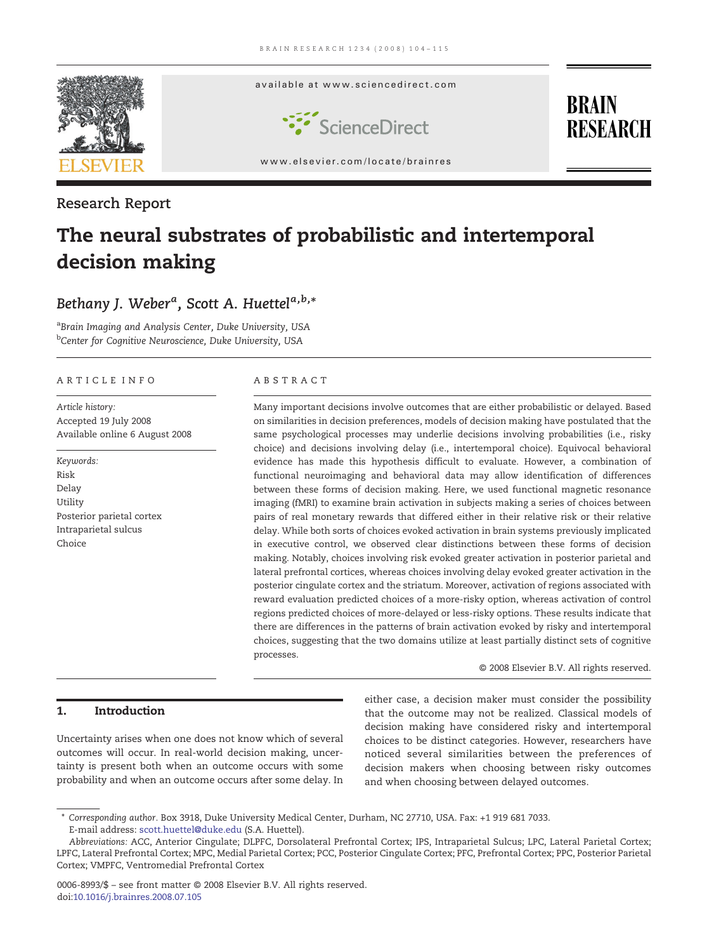

### Research Report

# The neural substrates of probabilistic and intertemporal decision making

## Bethany J. Weber<sup>a</sup>, Scott A. Huettel<sup>a,b,</sup>\*

<sup>a</sup>Brain Imaging and Analysis Center, Duke University, USA <sup>b</sup>Center for Cognitive Neuroscience, Duke University, USA

#### ARTICLE INFO ABSTRACT

Article history: Accepted 19 July 2008 Available online 6 August 2008

Keywords: Risk Delay Utility Posterior parietal cortex Intraparietal sulcus Choice

Many important decisions involve outcomes that are either probabilistic or delayed. Based on similarities in decision preferences, models of decision making have postulated that the same psychological processes may underlie decisions involving probabilities (i.e., risky choice) and decisions involving delay (i.e., intertemporal choice). Equivocal behavioral evidence has made this hypothesis difficult to evaluate. However, a combination of functional neuroimaging and behavioral data may allow identification of differences between these forms of decision making. Here, we used functional magnetic resonance imaging (fMRI) to examine brain activation in subjects making a series of choices between pairs of real monetary rewards that differed either in their relative risk or their relative delay. While both sorts of choices evoked activation in brain systems previously implicated in executive control, we observed clear distinctions between these forms of decision making. Notably, choices involving risk evoked greater activation in posterior parietal and lateral prefrontal cortices, whereas choices involving delay evoked greater activation in the posterior cingulate cortex and the striatum. Moreover, activation of regions associated with reward evaluation predicted choices of a more-risky option, whereas activation of control regions predicted choices of more-delayed or less-risky options. These results indicate that there are differences in the patterns of brain activation evoked by risky and intertemporal choices, suggesting that the two domains utilize at least partially distinct sets of cognitive processes.

© 2008 Elsevier B.V. All rights reserved.

#### 1. Introduction

Uncertainty arises when one does not know which of several outcomes will occur. In real-world decision making, uncertainty is present both when an outcome occurs with some probability and when an outcome occurs after some delay. In

either case, a decision maker must consider the possibility that the outcome may not be realized. Classical models of decision making have considered risky and intertemporal choices to be distinct categories. However, researchers have noticed several similarities between the preferences of decision makers when choosing between risky outcomes and when choosing between delayed outcomes.

<sup>⁎</sup> Corresponding author. Box 3918, Duke University Medical Center, Durham, NC 27710, USA. Fax: +1 919 681 7033. E-mail address: [scott.huettel@duke.edu](mailto:scott.huettel@duke.edu) (S.A. Huettel).

Abbreviations: ACC, Anterior Cingulate; DLPFC, Dorsolateral Prefrontal Cortex; IPS, Intraparietal Sulcus; LPC, Lateral Parietal Cortex; LPFC, Lateral Prefrontal Cortex; MPC, Medial Parietal Cortex; PCC, Posterior Cingulate Cortex; PFC, Prefrontal Cortex; PPC, Posterior Parietal Cortex; VMPFC, Ventromedial Prefrontal Cortex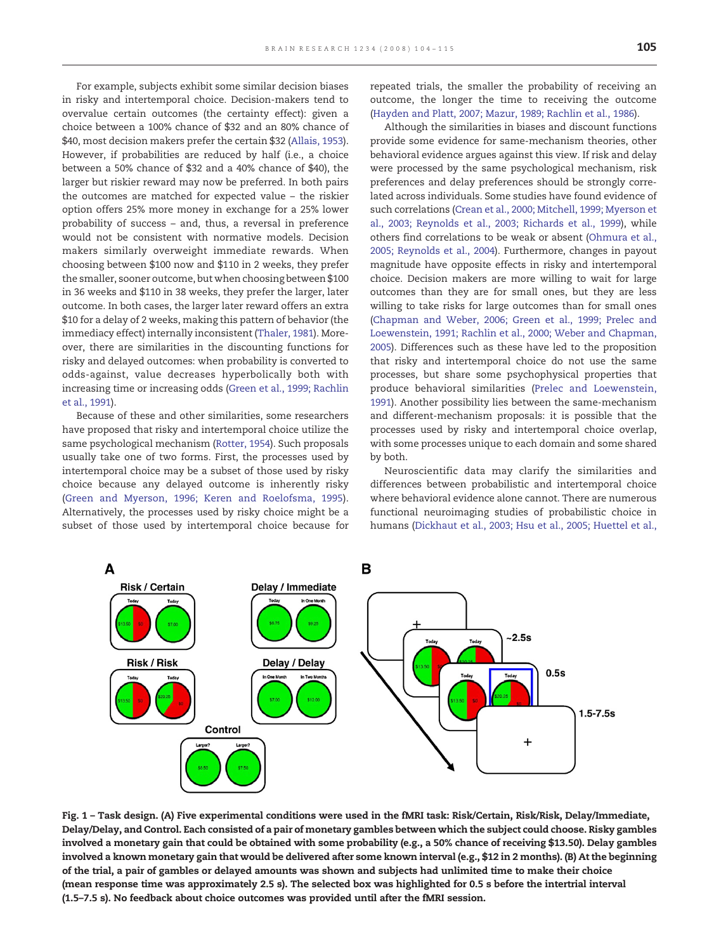<span id="page-1-0"></span>For example, subjects exhibit some similar decision biases in risky and intertemporal choice. Decision-makers tend to overvalue certain outcomes (the certainty effect): given a choice between a 100% chance of \$32 and an 80% chance of \$40, most decision makers prefer the certain \$32 ([Allais, 1953](#page-10-0)). However, if probabilities are reduced by half (i.e., a choice between a 50% chance of \$32 and a 40% chance of \$40), the larger but riskier reward may now be preferred. In both pairs the outcomes are matched for expected value – the riskier option offers 25% more money in exchange for a 25% lower probability of success – and, thus, a reversal in preference would not be consistent with normative models. Decision makers similarly overweight immediate rewards. When choosing between \$100 now and \$110 in 2 weeks, they prefer the smaller, sooner outcome, but when choosing between \$100 in 36 weeks and \$110 in 38 weeks, they prefer the larger, later outcome. In both cases, the larger later reward offers an extra \$10 for a delay of 2 weeks, making this pattern of behavior (the immediacy effect) internally inconsistent ([Thaler, 1981\)](#page-11-0). Moreover, there are similarities in the discounting functions for risky and delayed outcomes: when probability is converted to odds-against, value decreases hyperbolically both with increasing time or increasing odds ([Green et al., 1999; Rachlin](#page-10-0) [et al., 1991\)](#page-10-0).

Because of these and other similarities, some researchers have proposed that risky and intertemporal choice utilize the same psychological mechanism [\(Rotter, 1954](#page-11-0)). Such proposals usually take one of two forms. First, the processes used by intertemporal choice may be a subset of those used by risky choice because any delayed outcome is inherently risky [\(Green and Myerson, 1996; Keren and Roelofsma, 1995](#page-10-0)). Alternatively, the processes used by risky choice might be a subset of those used by intertemporal choice because for repeated trials, the smaller the probability of receiving an outcome, the longer the time to receiving the outcome [\(Hayden and Platt, 2007; Mazur, 1989; Rachlin et al., 1986](#page-10-0)).

Although the similarities in biases and discount functions provide some evidence for same-mechanism theories, other behavioral evidence argues against this view. If risk and delay were processed by the same psychological mechanism, risk preferences and delay preferences should be strongly correlated across individuals. Some studies have found evidence of such correlations ([Crean et al., 2000; Mitchell, 1999; Myerson et](#page-10-0) [al., 2003; Reynolds et al., 2003; Richards et al., 1999](#page-10-0)), while others find correlations to be weak or absent [\(Ohmura et al.,](#page-11-0) [2005; Reynolds et al., 2004\)](#page-11-0). Furthermore, changes in payout magnitude have opposite effects in risky and intertemporal choice. Decision makers are more willing to wait for large outcomes than they are for small ones, but they are less willing to take risks for large outcomes than for small ones [\(Chapman and Weber, 2006; Green et al., 1999; Prelec and](#page-10-0) [Loewenstein, 1991; Rachlin et al., 2000; Weber and Chapman,](#page-10-0) [2005](#page-10-0)). Differences such as these have led to the proposition that risky and intertemporal choice do not use the same processes, but share some psychophysical properties that produce behavioral similarities [\(Prelec and Loewenstein,](#page-11-0) [1991](#page-11-0)). Another possibility lies between the same-mechanism and different-mechanism proposals: it is possible that the processes used by risky and intertemporal choice overlap, with some processes unique to each domain and some shared by both.

Neuroscientific data may clarify the similarities and differences between probabilistic and intertemporal choice where behavioral evidence alone cannot. There are numerous functional neuroimaging studies of probabilistic choice in humans [\(Dickhaut et al., 2003; Hsu et al., 2005; Huettel et al.,](#page-10-0)



Fig. 1 – Task design. (A) Five experimental conditions were used in the fMRI task: Risk/Certain, Risk/Risk, Delay/Immediate, Delay/Delay, and Control. Each consisted of a pair of monetary gambles between which the subject could choose. Risky gambles involved a monetary gain that could be obtained with some probability (e.g., a 50% chance of receiving \$13.50). Delay gambles involved a known monetary gain that would be delivered after some known interval (e.g., \$12 in 2 months). (B) At the beginning of the trial, a pair of gambles or delayed amounts was shown and subjects had unlimited time to make their choice (mean response time was approximately 2.5 s). The selected box was highlighted for 0.5 s before the intertrial interval (1.5–7.5 s). No feedback about choice outcomes was provided until after the fMRI session.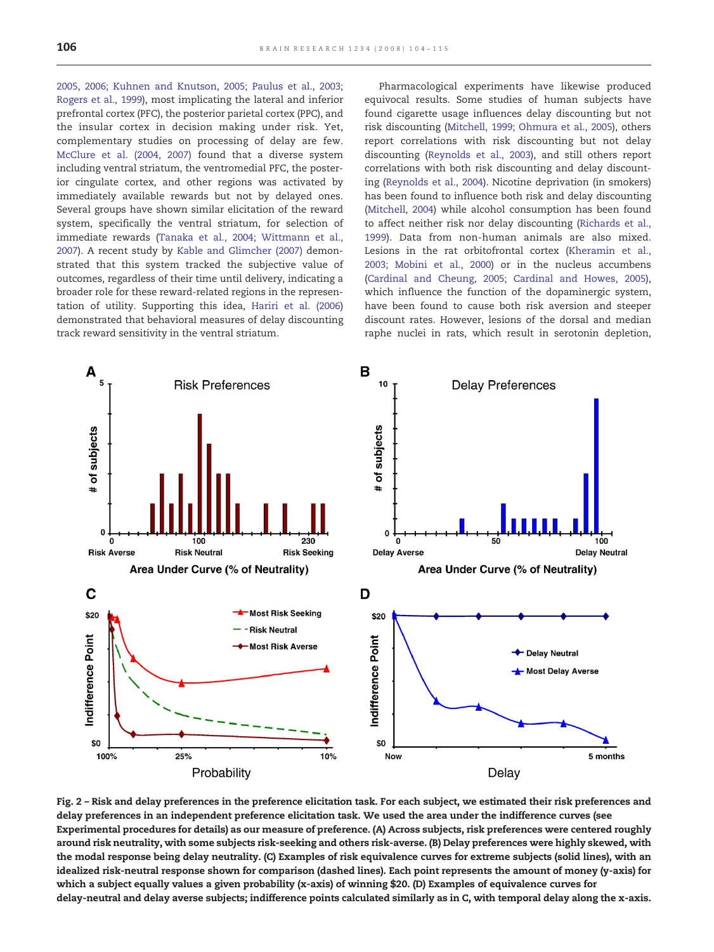<span id="page-2-0"></span>[2005, 2006; Kuhnen and Knutson, 2005; Paulus et al., 2003;](#page-10-0) [Rogers et al., 1999\)](#page-10-0), most implicating the lateral and inferior prefrontal cortex (PFC), the posterior parietal cortex (PPC), and the insular cortex in decision making under risk. Yet, complementary studies on processing of delay are few. [McClure et al. \(2004, 2007\)](#page-10-0) found that a diverse system including ventral striatum, the ventromedial PFC, the posterior cingulate cortex, and other regions was activated by immediately available rewards but not by delayed ones. Several groups have shown similar elicitation of the reward system, specifically the ventral striatum, for selection of immediate rewards [\(Tanaka et al., 2004; Wittmann et al.,](#page-11-0) [2007\)](#page-11-0). A recent study by [Kable and Glimcher \(2007\)](#page-10-0) demonstrated that this system tracked the subjective value of outcomes, regardless of their time until delivery, indicating a broader role for these reward-related regions in the representation of utility. Supporting this idea, [Hariri et al. \(2006\)](#page-10-0) demonstrated that behavioral measures of delay discounting track reward sensitivity in the ventral striatum.

Pharmacological experiments have likewise produced equivocal results. Some studies of human subjects have found cigarette usage influences delay discounting but not risk discounting [\(Mitchell, 1999; Ohmura et al., 2005\)](#page-10-0), others report correlations with risk discounting but not delay discounting [\(Reynolds et al., 2003\)](#page-11-0), and still others report correlations with both risk discounting and delay discounting [\(Reynolds et al., 2004](#page-11-0)). Nicotine deprivation (in smokers) has been found to influence both risk and delay discounting ([Mitchell, 2004\)](#page-10-0) while alcohol consumption has been found to affect neither risk nor delay discounting ([Richards et al.,](#page-11-0) [1999](#page-11-0)). Data from non-human animals are also mixed. Lesions in the rat orbitofrontal cortex ([Kheramin et al.,](#page-10-0) [2003; Mobini et al., 2000\)](#page-10-0) or in the nucleus accumbens ([Cardinal and Cheung, 2005; Cardinal and Howes, 2005\)](#page-10-0), which influence the function of the dopaminergic system, have been found to cause both risk aversion and steeper discount rates. However, lesions of the dorsal and median raphe nuclei in rats, which result in serotonin depletion,



Fig. 2 – Risk and delay preferences in the preference elicitation task. For each subject, we estimated their risk preferences and delay preferences in an independent preference elicitation task. We used the area under the indifference curves (see Experimental procedures for details) as our measure of preference. (A) Across subjects, risk preferences were centered roughly around risk neutrality, with some subjects risk-seeking and others risk-averse. (B) Delay preferences were highly skewed, with the modal response being delay neutrality. (C) Examples of risk equivalence curves for extreme subjects (solid lines), with an idealized risk-neutral response shown for comparison (dashed lines). Each point represents the amount of money (y-axis) for which a subject equally values a given probability (x-axis) of winning \$20. (D) Examples of equivalence curves for delay-neutral and delay averse subjects; indifference points calculated similarly as in C, with temporal delay along the x-axis.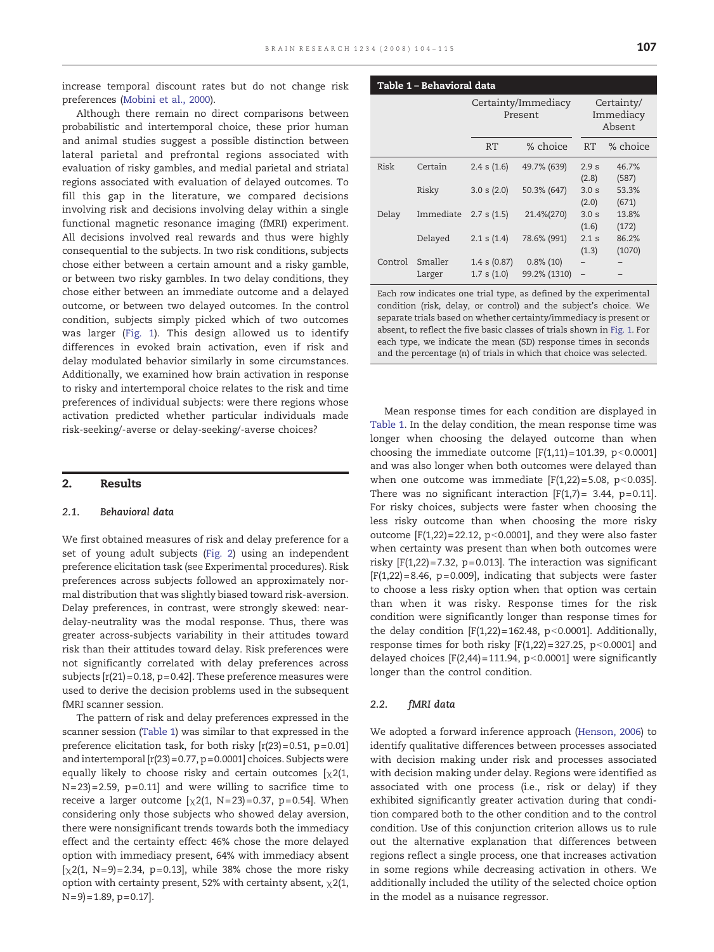Table 1 – Behavioral data

increase temporal discount rates but do not change risk preferences ([Mobini et al., 2000](#page-10-0)).

Although there remain no direct comparisons between probabilistic and intertemporal choice, these prior human and animal studies suggest a possible distinction between lateral parietal and prefrontal regions associated with evaluation of risky gambles, and medial parietal and striatal regions associated with evaluation of delayed outcomes. To fill this gap in the literature, we compared decisions involving risk and decisions involving delay within a single functional magnetic resonance imaging (fMRI) experiment. All decisions involved real rewards and thus were highly consequential to the subjects. In two risk conditions, subjects chose either between a certain amount and a risky gamble, or between two risky gambles. In two delay conditions, they chose either between an immediate outcome and a delayed outcome, or between two delayed outcomes. In the control condition, subjects simply picked which of two outcomes was larger ([Fig. 1\)](#page-1-0). This design allowed us to identify differences in evoked brain activation, even if risk and delay modulated behavior similarly in some circumstances. Additionally, we examined how brain activation in response to risky and intertemporal choice relates to the risk and time preferences of individual subjects: were there regions whose activation predicted whether particular individuals made risk-seeking/-averse or delay-seeking/-averse choices?

#### 2. Results

#### 2.1. Behavioral data

We first obtained measures of risk and delay preference for a set of young adult subjects ([Fig. 2](#page-2-0)) using an independent preference elicitation task (see Experimental procedures). Risk preferences across subjects followed an approximately normal distribution that was slightly biased toward risk-aversion. Delay preferences, in contrast, were strongly skewed: neardelay-neutrality was the modal response. Thus, there was greater across-subjects variability in their attitudes toward risk than their attitudes toward delay. Risk preferences were not significantly correlated with delay preferences across subjects  $[r(21)=0.18, p=0.42]$ . These preference measures were used to derive the decision problems used in the subsequent fMRI scanner session.

The pattern of risk and delay preferences expressed in the scanner session (Table 1) was similar to that expressed in the preference elicitation task, for both risky  $[r(23)=0.51, p=0.01]$ and intertemporal [r(23)= 0.77, p= 0.0001] choices. Subjects were equally likely to choose risky and certain outcomes  $[\chi 2(1,$  $N = 23$  = 2.59, p= 0.11] and were willing to sacrifice time to receive a larger outcome  $[\chi2(1, N=23)=0.37, p=0.54]$ . When considering only those subjects who showed delay aversion, there were nonsignificant trends towards both the immediacy effect and the certainty effect: 46% chose the more delayed option with immediacy present, 64% with immediacy absent  $[\chi 2(1, N=9) = 2.34, p=0.13]$ , while 38% chose the more risky option with certainty present, 52% with certainty absent,  $\chi$ 2(1,  $N = 9$  = 1.89, p = 0.17].

|         |                   |                                | Certainty/Immediacy<br>Present | Certainty/<br>Immediacy<br>Absent |                 |  |
|---------|-------------------|--------------------------------|--------------------------------|-----------------------------------|-----------------|--|
|         |                   | RT                             | % choice                       | RT                                | % choice        |  |
| Risk    | Certain           | $2.4$ s $(1.6)$                | 49.7% (639)                    | 2.9 <sub>s</sub><br>(2.8)         | 46.7%<br>(587)  |  |
|         | Risky             | 3.0 s(2.0)                     | 50.3% (647)                    | 3.0 <sub>s</sub><br>(2.0)         | 53.3%<br>(671)  |  |
| Delay   | Immediate         | 2.7 s(1.5)                     | 21.4%(270)                     | 3.0 <sub>s</sub><br>(1.6)         | 13.8%<br>(172)  |  |
|         | Delayed           | 2.1 s(1.4)                     | 78.6% (991)                    | 2.1 s<br>(1.3)                    | 86.2%<br>(1070) |  |
| Control | Smaller<br>Larger | $1.4$ s $(0.87)$<br>1.7 s(1.0) | $0.8\%$ (10)<br>99.2% (1310)   | $\qquad \qquad -$                 |                 |  |

Each row indicates one trial type, as defined by the experimental condition (risk, delay, or control) and the subject's choice. We separate trials based on whether certainty/immediacy is present or absent, to reflect the five basic classes of trials shown in [Fig. 1](#page-1-0). For each type, we indicate the mean (SD) response times in seconds and the percentage (n) of trials in which that choice was selected.

Mean response times for each condition are displayed in Table 1. In the delay condition, the mean response time was longer when choosing the delayed outcome than when choosing the immediate outcome  $[F(1,11)=101.39, p<0.0001]$ and was also longer when both outcomes were delayed than when one outcome was immediate  $[F(1,22)=5.08, p<0.035]$ . There was no significant interaction  $[F(1,7) = 3.44, p=0.11]$ . For risky choices, subjects were faster when choosing the less risky outcome than when choosing the more risky outcome  $[F(1,22)= 22.12, p<0.0001]$ , and they were also faster when certainty was present than when both outcomes were risky  $[F(1,22)=7.32, p=0.013]$ . The interaction was significant  $[F(1,22)=8.46, p=0.009]$ , indicating that subjects were faster to choose a less risky option when that option was certain than when it was risky. Response times for the risk condition were significantly longer than response times for the delay condition  $[F(1,22) = 162.48, p < 0.0001]$ . Additionally, response times for both risky  $[F(1,22)=327.25, p<0.0001]$  and delayed choices  $[F(2,44)=111.94, p<0.0001]$  were significantly longer than the control condition.

#### 2.2. fMRI data

We adopted a forward inference approach [\(Henson, 2006\)](#page-10-0) to identify qualitative differences between processes associated with decision making under risk and processes associated with decision making under delay. Regions were identified as associated with one process (i.e., risk or delay) if they exhibited significantly greater activation during that condition compared both to the other condition and to the control condition. Use of this conjunction criterion allows us to rule out the alternative explanation that differences between regions reflect a single process, one that increases activation in some regions while decreasing activation in others. We additionally included the utility of the selected choice option in the model as a nuisance regressor.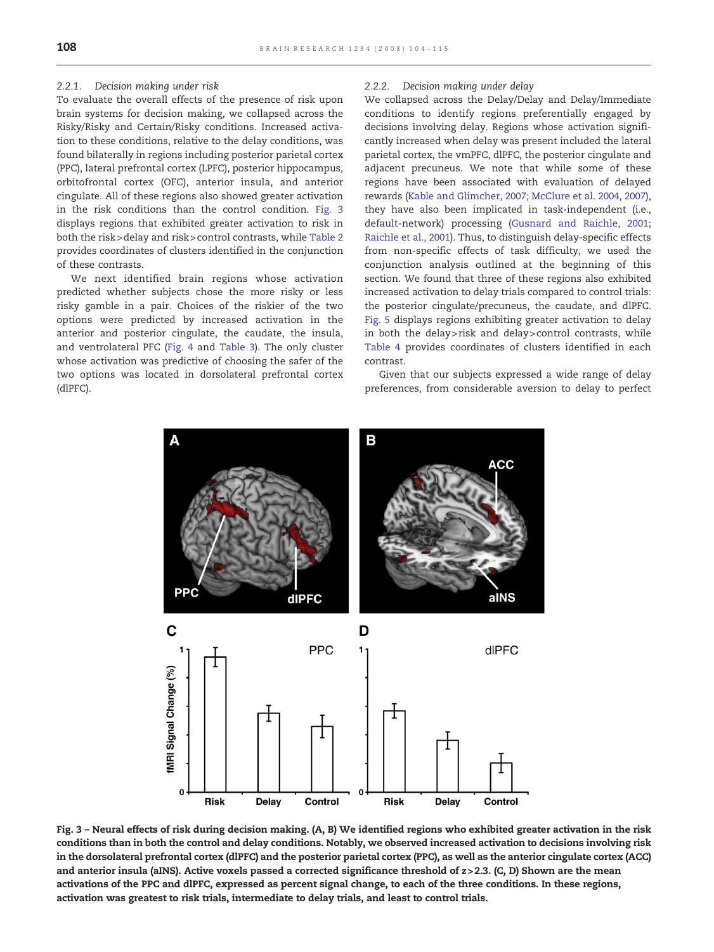#### 2.2.1. Decision making under risk

To evaluate the overall effects of the presence of risk upon brain systems for decision making, we collapsed across the Risky/Risky and Certain/Risky conditions. Increased activation to these conditions, relative to the delay conditions, was found bilaterally in regions including posterior parietal cortex (PPC), lateral prefrontal cortex (LPFC), posterior hippocampus, orbitofrontal cortex (OFC), anterior insula, and anterior cingulate. All of these regions also showed greater activation in the risk conditions than the control condition. Fig. 3 displays regions that exhibited greater activation to risk in both the risk>delay and risk> control contrasts, while [Table 2](#page-5-0) provides coordinates of clusters identified in the conjunction of these contrasts.

We next identified brain regions whose activation predicted whether subjects chose the more risky or less risky gamble in a pair. Choices of the riskier of the two options were predicted by increased activation in the anterior and posterior cingulate, the caudate, the insula, and ventrolateral PFC ([Fig. 4](#page-5-0) and [Table 3\)](#page-6-0). The only cluster whose activation was predictive of choosing the safer of the two options was located in dorsolateral prefrontal cortex (dlPFC).

#### 2.2.2. Decision making under delay

We collapsed across the Delay/Delay and Delay/Immediate conditions to identify regions preferentially engaged by decisions involving delay. Regions whose activation significantly increased when delay was present included the lateral parietal cortex, the vmPFC, dlPFC, the posterior cingulate and adjacent precuneus. We note that while some of these regions have been associated with evaluation of delayed rewards [\(Kable and Glimcher, 2007; McClure et al. 2004, 2007\)](#page-10-0), they have also been implicated in task-independent (i.e., default-network) processing ([Gusnard and Raichle, 2001;](#page-10-0) [Raichle et al., 2001\)](#page-10-0). Thus, to distinguish delay-specific effects from non-specific effects of task difficulty, we used the conjunction analysis outlined at the beginning of this section. We found that three of these regions also exhibited increased activation to delay trials compared to control trials: the posterior cingulate/precuneus, the caudate, and dlPFC. [Fig. 5](#page-6-0) displays regions exhibiting greater activation to delay in both the delay> risk and delay > control contrasts, while [Table 4](#page-7-0) provides coordinates of clusters identified in each contrast.

Given that our subjects expressed a wide range of delay preferences, from considerable aversion to delay to perfect



Fig. 3 – Neural effects of risk during decision making. (A, B) We identified regions who exhibited greater activation in the risk conditions than in both the control and delay conditions. Notably, we observed increased activation to decisions involving risk in the dorsolateral prefrontal cortex (dlPFC) and the posterior parietal cortex (PPC), as well as the anterior cingulate cortex (ACC) and anterior insula (aINS). Active voxels passed a corrected significance threshold of z>2.3. (C, D) Shown are the mean activations of the PPC and dlPFC, expressed as percent signal change, to each of the three conditions. In these regions, activation was greatest to risk trials, intermediate to delay trials, and least to control trials.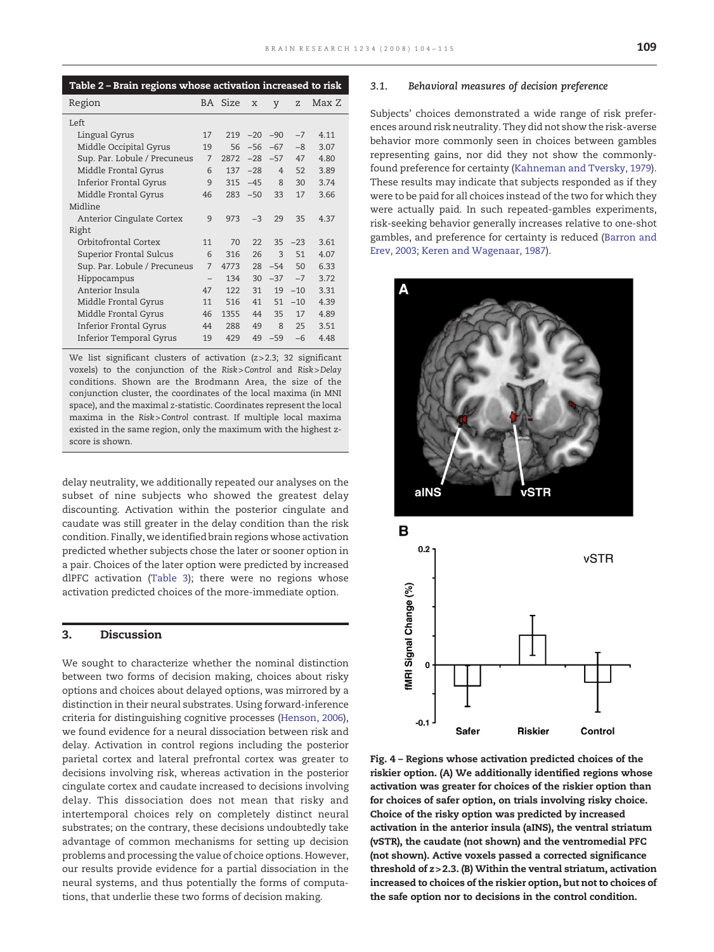<span id="page-5-0"></span>

| Table 2 - Brain regions whose activation increased to risk |                          |         |       |                |       |       |
|------------------------------------------------------------|--------------------------|---------|-------|----------------|-------|-------|
| Region                                                     |                          | BA Size | X     | y              | Ζ     | Max Z |
| Left                                                       |                          |         |       |                |       |       |
| Lingual Gyrus                                              | 17                       | 219     | $-20$ | $-90$          | $-7$  | 4.11  |
| Middle Occipital Gyrus                                     | 19                       | 56      | $-56$ | $-67$          | $-8$  | 3.07  |
| Sup. Par. Lobule / Precuneus                               | 7                        | 2872    | $-28$ | $-57$          | 47    | 4.80  |
| Middle Frontal Gyrus                                       | 6                        | 137     | $-28$ | $\overline{4}$ | 52    | 3.89  |
| <b>Inferior Frontal Gyrus</b>                              | 9                        | 315     | $-45$ | $\mathsf{R}$   | 30    | 3.74  |
| Middle Frontal Gyrus                                       | 46                       | 283     | $-50$ | 33             | 17    | 3.66  |
| Midline                                                    |                          |         |       |                |       |       |
| Anterior Cingulate Cortex                                  | 9                        | 973     | $-3$  | 29             | 35    | 4.37  |
| Right                                                      |                          |         |       |                |       |       |
| Orbitofrontal Cortex                                       | 11                       | 70      | 22    | 35             | $-23$ | 3.61  |
| Superior Frontal Sulcus                                    | 6                        | 316     | 26    | $\mathcal{L}$  | 51    | 4.07  |
| Sup. Par. Lobule / Precuneus                               | $\overline{7}$           | 4773    | 28    | $-54$          | 50    | 633   |
| Hippocampus                                                | $\overline{\phantom{0}}$ | 134     | 30    | $-37$          | $-7$  | 3.72  |
| Anterior Insula                                            | 47                       | 122     | 31    | 19             | $-10$ | 3.31  |
| Middle Frontal Gyrus                                       | 11                       | 516     | 41    | 51             | $-10$ | 4.39  |
| Middle Frontal Gyrus                                       | 46                       | 1355    | 44    | 35             | 17    | 4.89  |
| <b>Inferior Frontal Gyrus</b>                              | 44                       | 288     | 49    | 8              | 25    | 3.51  |
| Inferior Temporal Gyrus                                    | 19                       | 429     | 49    | $-59$          | $-6$  | 4.48  |

We list significant clusters of activation (z>2.3; 32 significant voxels) to the conjunction of the Risk>Control and Risk>Delay conditions. Shown are the Brodmann Area, the size of the conjunction cluster, the coordinates of the local maxima (in MNI space), and the maximal z-statistic. Coordinates represent the local maxima in the Risk>Control contrast. If multiple local maxima existed in the same region, only the maximum with the highest zscore is shown.

delay neutrality, we additionally repeated our analyses on the subset of nine subjects who showed the greatest delay discounting. Activation within the posterior cingulate and caudate was still greater in the delay condition than the risk condition. Finally, we identified brain regions whose activation predicted whether subjects chose the later or sooner option in a pair. Choices of the later option were predicted by increased dlPFC activation ([Table 3\)](#page-6-0); there were no regions whose activation predicted choices of the more-immediate option.

#### 3. Discussion

We sought to characterize whether the nominal distinction between two forms of decision making, choices about risky options and choices about delayed options, was mirrored by a distinction in their neural substrates. Using forward-inference criteria for distinguishing cognitive processes [\(Henson, 2006](#page-10-0)), we found evidence for a neural dissociation between risk and delay. Activation in control regions including the posterior parietal cortex and lateral prefrontal cortex was greater to decisions involving risk, whereas activation in the posterior cingulate cortex and caudate increased to decisions involving delay. This dissociation does not mean that risky and intertemporal choices rely on completely distinct neural substrates; on the contrary, these decisions undoubtedly take advantage of common mechanisms for setting up decision problems and processing the value of choice options. However, our results provide evidence for a partial dissociation in the neural systems, and thus potentially the forms of computations, that underlie these two forms of decision making.

#### 3.1. Behavioral measures of decision preference

Subjects' choices demonstrated a wide range of risk preferences around risk neutrality. They did not show the risk-averse behavior more commonly seen in choices between gambles representing gains, nor did they not show the commonlyfound preference for certainty [\(Kahneman and Tversky, 1979](#page-10-0)). These results may indicate that subjects responded as if they were to be paid for all choices instead of the two for which they were actually paid. In such repeated-gambles experiments, risk-seeking behavior generally increases relative to one-shot gambles, and preference for certainty is reduced [\(Barron and](#page-10-0) [Erev, 2003; Keren and Wagenaar, 1987](#page-10-0)).



Fig. 4 – Regions whose activation predicted choices of the riskier option. (A) We additionally identified regions whose activation was greater for choices of the riskier option than for choices of safer option, on trials involving risky choice. Choice of the risky option was predicted by increased activation in the anterior insula (aINS), the ventral striatum (vSTR), the caudate (not shown) and the ventromedial PFC (not shown). Active voxels passed a corrected significance threshold of z> 2.3. (B) Within the ventral striatum, activation increased to choices of the riskier option, but not to choices of the safe option nor to decisions in the control condition.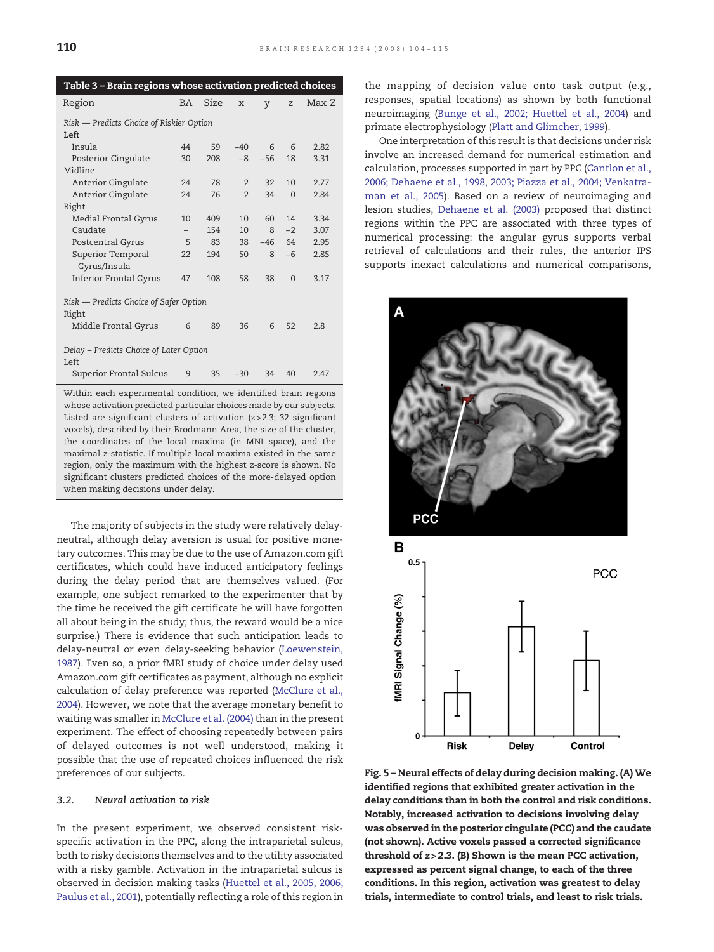<span id="page-6-0"></span>

| Table 3 - Brain regions whose activation predicted choices |           |      |                |       |          |       |  |  |
|------------------------------------------------------------|-----------|------|----------------|-------|----------|-------|--|--|
| Region                                                     | <b>BA</b> | Size | X              | y     | Z        | Max Z |  |  |
| Risk - Predicts Choice of Riskier Option                   |           |      |                |       |          |       |  |  |
| Left                                                       |           |      |                |       |          |       |  |  |
| Insula                                                     | 44        | 59   | $-40$          | 6     | 6        | 2.82  |  |  |
| Posterior Cingulate                                        | 30        | 208  | $-8$           | $-56$ | 18       | 3.31  |  |  |
| Midline                                                    |           |      |                |       |          |       |  |  |
| Anterior Cingulate                                         | 24        | 78   | $\overline{2}$ | 32    | 10       | 2.77  |  |  |
| Anterior Cingulate                                         | 24        | 76   | $\overline{2}$ | 34    | $\Omega$ | 2.84  |  |  |
| Right                                                      |           |      |                |       |          |       |  |  |
| Medial Frontal Gyrus                                       | 10        | 409  | 10             | 60    | 14       | 3.34  |  |  |
| Caudate                                                    |           | 154  | 10             | 8     | $-2$     | 3.07  |  |  |
| Postcentral Gyrus                                          | 5         | 83   | 38             | $-46$ | 64       | 2.95  |  |  |
| Superior Temporal                                          | 22        | 194  | 50             | 8     | $-6$     | 2.85  |  |  |
| Gyrus/Insula                                               |           |      |                |       |          |       |  |  |
| <b>Inferior Frontal Gyrus</b>                              | 47        | 108  | 58             | 38    | $\Omega$ | 3.17  |  |  |
|                                                            |           |      |                |       |          |       |  |  |
| Risk — Predicts Choice of Safer Option                     |           |      |                |       |          |       |  |  |
| Right                                                      |           |      |                |       |          |       |  |  |
| Middle Frontal Gyrus                                       | 6         | 89   | 36             | 6     | 52       | 2.8   |  |  |
|                                                            |           |      |                |       |          |       |  |  |
| Delay - Predicts Choice of Later Option<br>Left            |           |      |                |       |          |       |  |  |
| Superior Frontal Sulcus                                    | 9         | 35   | $-30$          | 34    | 40       | 2.47  |  |  |

Within each experimental condition, we identified brain regions whose activation predicted particular choices made by our subjects. Listed are significant clusters of activation (z> 2.3; 32 significant voxels), described by their Brodmann Area, the size of the cluster, the coordinates of the local maxima (in MNI space), and the maximal z-statistic. If multiple local maxima existed in the same region, only the maximum with the highest z-score is shown. No significant clusters predicted choices of the more-delayed option when making decisions under delay.

The majority of subjects in the study were relatively delayneutral, although delay aversion is usual for positive monetary outcomes. This may be due to the use of Amazon.com gift certificates, which could have induced anticipatory feelings during the delay period that are themselves valued. (For example, one subject remarked to the experimenter that by the time he received the gift certificate he will have forgotten all about being in the study; thus, the reward would be a nice surprise.) There is evidence that such anticipation leads to delay-neutral or even delay-seeking behavior ([Loewenstein,](#page-10-0) [1987\)](#page-10-0). Even so, a prior fMRI study of choice under delay used Amazon.com gift certificates as payment, although no explicit calculation of delay preference was reported [\(McClure et al.,](#page-10-0) [2004\)](#page-10-0). However, we note that the average monetary benefit to waiting was smaller in [McClure et al. \(2004\)](#page-10-0) than in the present experiment. The effect of choosing repeatedly between pairs of delayed outcomes is not well understood, making it possible that the use of repeated choices influenced the risk preferences of our subjects.

#### 3.2. Neural activation to risk

In the present experiment, we observed consistent riskspecific activation in the PPC, along the intraparietal sulcus, both to risky decisions themselves and to the utility associated with a risky gamble. Activation in the intraparietal sulcus is observed in decision making tasks [\(Huettel et al., 2005, 2006;](#page-10-0) [Paulus et al., 2001\)](#page-10-0), potentially reflecting a role of this region in

the mapping of decision value onto task output (e.g., responses, spatial locations) as shown by both functional neuroimaging [\(Bunge et al., 2002; Huettel et al., 2004\)](#page-10-0) and primate electrophysiology [\(Platt and Glimcher, 1999\)](#page-11-0).

One interpretation of this result is that decisions under risk involve an increased demand for numerical estimation and calculation, processes supported in part by PPC ([Cantlon et al.,](#page-10-0) [2006; Dehaene et al., 1998, 2003; Piazza et al., 2004; Venkatra](#page-10-0)[man et al., 2005](#page-10-0)). Based on a review of neuroimaging and lesion studies, [Dehaene et al. \(2003\)](#page-10-0) proposed that distinct regions within the PPC are associated with three types of numerical processing: the angular gyrus supports verbal retrieval of calculations and their rules, the anterior IPS supports inexact calculations and numerical comparisons,



Fig. 5 – Neural effects of delay during decision making. (A) We identified regions that exhibited greater activation in the delay conditions than in both the control and risk conditions. Notably, increased activation to decisions involving delay was observed in the posterior cingulate (PCC) and the caudate (not shown). Active voxels passed a corrected significance threshold of z> 2.3. (B) Shown is the mean PCC activation, expressed as percent signal change, to each of the three conditions. In this region, activation was greatest to delay trials, intermediate to control trials, and least to risk trials.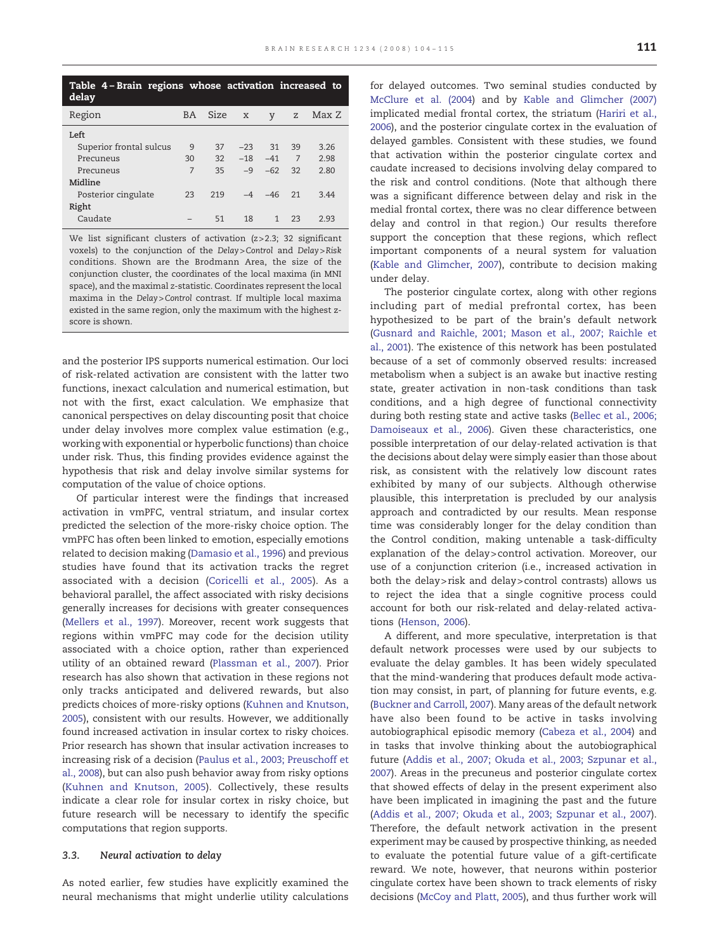<span id="page-7-0"></span>

| Table 4 – Brain regions whose activation increased to<br>delay |     |      |              |               |    |       |  |  |
|----------------------------------------------------------------|-----|------|--------------|---------------|----|-------|--|--|
| Region                                                         | BA. | Size | $\mathbf{x}$ | V             | Z  | Max Z |  |  |
| Left                                                           |     |      |              |               |    |       |  |  |
| Superior frontal sulcus                                        | 9   | 37   | $-23$        | 31            | 39 | 3.26  |  |  |
| Precuneus                                                      | 30  | 32   | $-18 - 41$   |               | 7  | 2.98  |  |  |
| Precuneus                                                      | 7   | 35   | $-9$         | $-62$         | 32 | 2.80  |  |  |
| Midline                                                        |     |      |              |               |    |       |  |  |
| Posterior cingulate                                            | 23  | 219  |              | $-4$ $-46$ 21 |    | 344   |  |  |
| Right                                                          |     |      |              |               |    |       |  |  |
| Caudate                                                        |     | 51   | 18           |               | 23 | 2.93  |  |  |

We list significant clusters of activation (z>2.3; 32 significant voxels) to the conjunction of the Delay>Control and Delay>Risk conditions. Shown are the Brodmann Area, the size of the conjunction cluster, the coordinates of the local maxima (in MNI space), and the maximal z-statistic. Coordinates represent the local maxima in the Delay>Control contrast. If multiple local maxima existed in the same region, only the maximum with the highest zscore is shown.

and the posterior IPS supports numerical estimation. Our loci of risk-related activation are consistent with the latter two functions, inexact calculation and numerical estimation, but not with the first, exact calculation. We emphasize that canonical perspectives on delay discounting posit that choice under delay involves more complex value estimation (e.g., working with exponential or hyperbolic functions) than choice under risk. Thus, this finding provides evidence against the hypothesis that risk and delay involve similar systems for computation of the value of choice options.

Of particular interest were the findings that increased activation in vmPFC, ventral striatum, and insular cortex predicted the selection of the more-risky choice option. The vmPFC has often been linked to emotion, especially emotions related to decision making [\(Damasio et al., 1996](#page-10-0)) and previous studies have found that its activation tracks the regret associated with a decision [\(Coricelli et al., 2005\)](#page-10-0). As a behavioral parallel, the affect associated with risky decisions generally increases for decisions with greater consequences [\(Mellers et al., 1997](#page-10-0)). Moreover, recent work suggests that regions within vmPFC may code for the decision utility associated with a choice option, rather than experienced utility of an obtained reward ([Plassman et al., 2007\)](#page-11-0). Prior research has also shown that activation in these regions not only tracks anticipated and delivered rewards, but also predicts choices of more-risky options [\(Kuhnen and Knutson,](#page-10-0) [2005](#page-10-0)), consistent with our results. However, we additionally found increased activation in insular cortex to risky choices. Prior research has shown that insular activation increases to increasing risk of a decision ([Paulus et al., 2003; Preuschoff et](#page-11-0) [al., 2008\)](#page-11-0), but can also push behavior away from risky options ([Kuhnen and Knutson, 2005\)](#page-10-0). Collectively, these results indicate a clear role for insular cortex in risky choice, but future research will be necessary to identify the specific computations that region supports.

#### 3.3. Neural activation to delay

As noted earlier, few studies have explicitly examined the neural mechanisms that might underlie utility calculations for delayed outcomes. Two seminal studies conducted by [McClure et al. \(2004](#page-10-0)) and by [Kable and Glimcher \(2007\)](#page-10-0) implicated medial frontal cortex, the striatum ([Hariri et al.,](#page-10-0) [2006](#page-10-0)), and the posterior cingulate cortex in the evaluation of delayed gambles. Consistent with these studies, we found that activation within the posterior cingulate cortex and caudate increased to decisions involving delay compared to the risk and control conditions. (Note that although there was a significant difference between delay and risk in the medial frontal cortex, there was no clear difference between delay and control in that region.) Our results therefore support the conception that these regions, which reflect important components of a neural system for valuation [\(Kable and Glimcher, 2007](#page-10-0)), contribute to decision making under delay.

The posterior cingulate cortex, along with other regions including part of medial prefrontal cortex, has been hypothesized to be part of the brain's default network [\(Gusnard and Raichle, 2001; Mason et al., 2007; Raichle et](#page-10-0) [al., 2001\)](#page-10-0). The existence of this network has been postulated because of a set of commonly observed results: increased metabolism when a subject is an awake but inactive resting state, greater activation in non-task conditions than task conditions, and a high degree of functional connectivity during both resting state and active tasks [\(Bellec et al., 2006;](#page-10-0) [Damoiseaux et al., 2006\)](#page-10-0). Given these characteristics, one possible interpretation of our delay-related activation is that the decisions about delay were simply easier than those about risk, as consistent with the relatively low discount rates exhibited by many of our subjects. Although otherwise plausible, this interpretation is precluded by our analysis approach and contradicted by our results. Mean response time was considerably longer for the delay condition than the Control condition, making untenable a task-difficulty explanation of the delay> control activation. Moreover, our use of a conjunction criterion (i.e., increased activation in both the delay> risk and delay> control contrasts) allows us to reject the idea that a single cognitive process could account for both our risk-related and delay-related activations ([Henson, 2006\)](#page-10-0).

A different, and more speculative, interpretation is that default network processes were used by our subjects to evaluate the delay gambles. It has been widely speculated that the mind-wandering that produces default mode activation may consist, in part, of planning for future events, e.g. [\(Buckner and Carroll, 2007\)](#page-10-0). Many areas of the default network have also been found to be active in tasks involving autobiographical episodic memory [\(Cabeza et al., 2004](#page-10-0)) and in tasks that involve thinking about the autobiographical future ([Addis et al., 2007; Okuda et al., 2003; Szpunar et al.,](#page-9-0) [2007](#page-9-0)). Areas in the precuneus and posterior cingulate cortex that showed effects of delay in the present experiment also have been implicated in imagining the past and the future [\(Addis et al., 2007; Okuda et al., 2003; Szpunar et al., 2007](#page-9-0)). Therefore, the default network activation in the present experiment may be caused by prospective thinking, as needed to evaluate the potential future value of a gift-certificate reward. We note, however, that neurons within posterior cingulate cortex have been shown to track elements of risky decisions [\(McCoy and Platt, 2005\)](#page-10-0), and thus further work will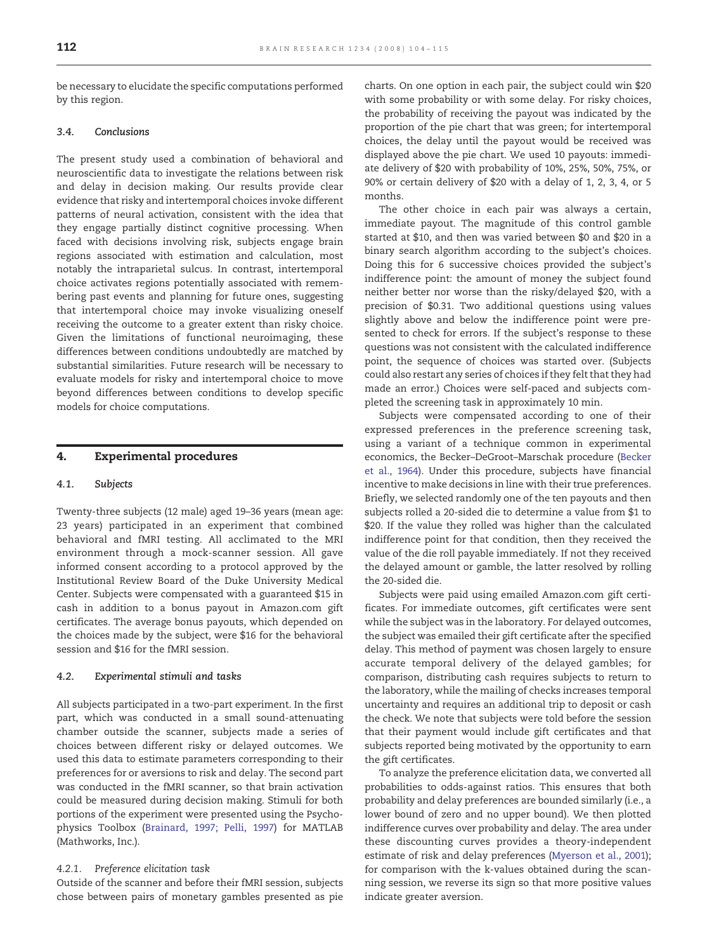<span id="page-8-0"></span>be necessary to elucidate the specific computations performed by this region.

#### 3.4. Conclusions

The present study used a combination of behavioral and neuroscientific data to investigate the relations between risk and delay in decision making. Our results provide clear evidence that risky and intertemporal choices invoke different patterns of neural activation, consistent with the idea that they engage partially distinct cognitive processing. When faced with decisions involving risk, subjects engage brain regions associated with estimation and calculation, most notably the intraparietal sulcus. In contrast, intertemporal choice activates regions potentially associated with remembering past events and planning for future ones, suggesting that intertemporal choice may invoke visualizing oneself receiving the outcome to a greater extent than risky choice. Given the limitations of functional neuroimaging, these differences between conditions undoubtedly are matched by substantial similarities. Future research will be necessary to evaluate models for risky and intertemporal choice to move beyond differences between conditions to develop specific models for choice computations.

#### 4. Experimental procedures

#### 4.1. Subjects

Twenty-three subjects (12 male) aged 19–36 years (mean age: 23 years) participated in an experiment that combined behavioral and fMRI testing. All acclimated to the MRI environment through a mock-scanner session. All gave informed consent according to a protocol approved by the Institutional Review Board of the Duke University Medical Center. Subjects were compensated with a guaranteed \$15 in cash in addition to a bonus payout in Amazon.com gift certificates. The average bonus payouts, which depended on the choices made by the subject, were \$16 for the behavioral session and \$16 for the fMRI session.

#### 4.2. Experimental stimuli and tasks

All subjects participated in a two-part experiment. In the first part, which was conducted in a small sound-attenuating chamber outside the scanner, subjects made a series of choices between different risky or delayed outcomes. We used this data to estimate parameters corresponding to their preferences for or aversions to risk and delay. The second part was conducted in the fMRI scanner, so that brain activation could be measured during decision making. Stimuli for both portions of the experiment were presented using the Psychophysics Toolbox [\(Brainard, 1997; Pelli, 1997\)](#page-10-0) for MATLAB (Mathworks, Inc.).

#### 4.2.1. Preference elicitation task

Outside of the scanner and before their fMRI session, subjects chose between pairs of monetary gambles presented as pie charts. On one option in each pair, the subject could win \$20 with some probability or with some delay. For risky choices, the probability of receiving the payout was indicated by the proportion of the pie chart that was green; for intertemporal choices, the delay until the payout would be received was displayed above the pie chart. We used 10 payouts: immediate delivery of \$20 with probability of 10%, 25%, 50%, 75%, or 90% or certain delivery of \$20 with a delay of 1, 2, 3, 4, or 5 months.

The other choice in each pair was always a certain, immediate payout. The magnitude of this control gamble started at \$10, and then was varied between \$0 and \$20 in a binary search algorithm according to the subject's choices. Doing this for 6 successive choices provided the subject's indifference point: the amount of money the subject found neither better nor worse than the risky/delayed \$20, with a precision of \$0.31. Two additional questions using values slightly above and below the indifference point were presented to check for errors. If the subject's response to these questions was not consistent with the calculated indifference point, the sequence of choices was started over. (Subjects could also restart any series of choices if they felt that they had made an error.) Choices were self-paced and subjects completed the screening task in approximately 10 min.

Subjects were compensated according to one of their expressed preferences in the preference screening task, using a variant of a technique common in experimental economics, the Becker–DeGroot–Marschak procedure ([Becker](#page-10-0) [et al., 1964](#page-10-0)). Under this procedure, subjects have financial incentive to make decisions in line with their true preferences. Briefly, we selected randomly one of the ten payouts and then subjects rolled a 20-sided die to determine a value from \$1 to \$20. If the value they rolled was higher than the calculated indifference point for that condition, then they received the value of the die roll payable immediately. If not they received the delayed amount or gamble, the latter resolved by rolling the 20-sided die.

Subjects were paid using emailed Amazon.com gift certificates. For immediate outcomes, gift certificates were sent while the subject was in the laboratory. For delayed outcomes, the subject was emailed their gift certificate after the specified delay. This method of payment was chosen largely to ensure accurate temporal delivery of the delayed gambles; for comparison, distributing cash requires subjects to return to the laboratory, while the mailing of checks increases temporal uncertainty and requires an additional trip to deposit or cash the check. We note that subjects were told before the session that their payment would include gift certificates and that subjects reported being motivated by the opportunity to earn the gift certificates.

To analyze the preference elicitation data, we converted all probabilities to odds-against ratios. This ensures that both probability and delay preferences are bounded similarly (i.e., a lower bound of zero and no upper bound). We then plotted indifference curves over probability and delay. The area under these discounting curves provides a theory-independent estimate of risk and delay preferences ([Myerson et al., 2001\)](#page-11-0); for comparison with the k-values obtained during the scanning session, we reverse its sign so that more positive values indicate greater aversion.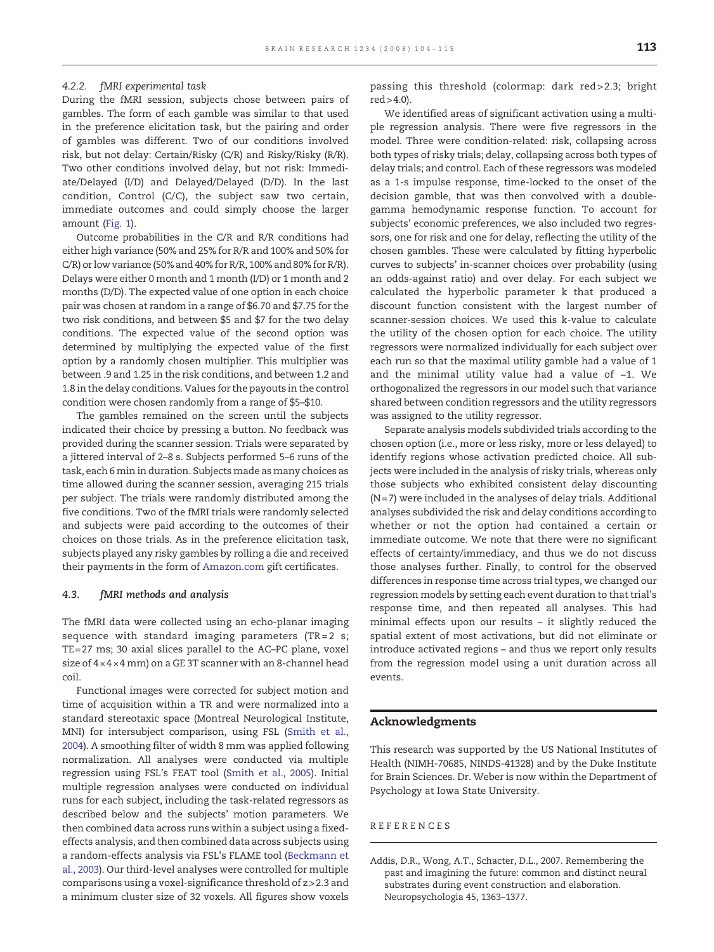#### <span id="page-9-0"></span>4.2.2. fMRI experimental task

During the fMRI session, subjects chose between pairs of gambles. The form of each gamble was similar to that used in the preference elicitation task, but the pairing and order of gambles was different. Two of our conditions involved risk, but not delay: Certain/Risky (C/R) and Risky/Risky (R/R). Two other conditions involved delay, but not risk: Immediate/Delayed (I/D) and Delayed/Delayed (D/D). In the last condition, Control (C/C), the subject saw two certain, immediate outcomes and could simply choose the larger amount [\(Fig. 1](#page-1-0)).

Outcome probabilities in the C/R and R/R conditions had either high variance (50% and 25% for R/R and 100% and 50% for C/R) or low variance (50% and 40% for R/R, 100% and 80% for R/R). Delays were either 0 month and 1 month (I/D) or 1 month and 2 months (D/D). The expected value of one option in each choice pair was chosen at random in a range of \$6.70 and \$7.75 for the two risk conditions, and between \$5 and \$7 for the two delay conditions. The expected value of the second option was determined by multiplying the expected value of the first option by a randomly chosen multiplier. This multiplier was between .9 and 1.25 in the risk conditions, and between 1.2 and 1.8 in the delay conditions. Values for the payouts in the control condition were chosen randomly from a range of \$5–\$10.

The gambles remained on the screen until the subjects indicated their choice by pressing a button. No feedback was provided during the scanner session. Trials were separated by a jittered interval of 2–8 s. Subjects performed 5–6 runs of the task, each 6 min in duration. Subjects made as many choices as time allowed during the scanner session, averaging 215 trials per subject. The trials were randomly distributed among the five conditions. Two of the fMRI trials were randomly selected and subjects were paid according to the outcomes of their choices on those trials. As in the preference elicitation task, subjects played any risky gambles by rolling a die and received their payments in the form of [Amazon.com](#page-8-0) gift certificates.

#### 4.3. fMRI methods and analysis

The fMRI data were collected using an echo-planar imaging sequence with standard imaging parameters (TR= $2 \text{ s}$ ; TE = 27 ms; 30 axial slices parallel to the AC–PC plane, voxel size of 4× 4× 4 mm) on a GE 3T scanner with an 8-channel head coil.

Functional images were corrected for subject motion and time of acquisition within a TR and were normalized into a standard stereotaxic space (Montreal Neurological Institute, MNI) for intersubject comparison, using FSL ([Smith et al.,](#page-11-0) [2004](#page-11-0)). A smoothing filter of width 8 mm was applied following normalization. All analyses were conducted via multiple regression using FSL's FEAT tool ([Smith et al., 2005\)](#page-11-0). Initial multiple regression analyses were conducted on individual runs for each subject, including the task-related regressors as described below and the subjects' motion parameters. We then combined data across runs within a subject using a fixedeffects analysis, and then combined data across subjects using a random-effects analysis via FSL's FLAME tool ([Beckmann et](#page-10-0) [al., 2003\)](#page-10-0). Our third-level analyses were controlled for multiple comparisons using a voxel-significance threshold of z> 2.3 and a minimum cluster size of 32 voxels. All figures show voxels

passing this threshold (colormap: dark red > 2.3; bright red> 4.0).

We identified areas of significant activation using a multiple regression analysis. There were five regressors in the model. Three were condition-related: risk, collapsing across both types of risky trials; delay, collapsing across both types of delay trials; and control. Each of these regressors was modeled as a 1-s impulse response, time-locked to the onset of the decision gamble, that was then convolved with a doublegamma hemodynamic response function. To account for subjects' economic preferences, we also included two regressors, one for risk and one for delay, reflecting the utility of the chosen gambles. These were calculated by fitting hyperbolic curves to subjects' in-scanner choices over probability (using an odds-against ratio) and over delay. For each subject we calculated the hyperbolic parameter k that produced a discount function consistent with the largest number of scanner-session choices. We used this k-value to calculate the utility of the chosen option for each choice. The utility regressors were normalized individually for each subject over each run so that the maximal utility gamble had a value of 1 and the minimal utility value had a value of −1. We orthogonalized the regressors in our model such that variance shared between condition regressors and the utility regressors was assigned to the utility regressor.

Separate analysis models subdivided trials according to the chosen option (i.e., more or less risky, more or less delayed) to identify regions whose activation predicted choice. All subjects were included in the analysis of risky trials, whereas only those subjects who exhibited consistent delay discounting (N= 7) were included in the analyses of delay trials. Additional analyses subdivided the risk and delay conditions according to whether or not the option had contained a certain or immediate outcome. We note that there were no significant effects of certainty/immediacy, and thus we do not discuss those analyses further. Finally, to control for the observed differences in response time across trial types, we changed our regression models by setting each event duration to that trial's response time, and then repeated all analyses. This had minimal effects upon our results – it slightly reduced the spatial extent of most activations, but did not eliminate or introduce activated regions – and thus we report only results from the regression model using a unit duration across all events.

#### Acknowledgments

This research was supported by the US National Institutes of Health (NIMH-70685, NINDS-41328) and by the Duke Institute for Brain Sciences. Dr. Weber is now within the Department of Psychology at Iowa State University.

#### REFERENCES

Addis, D.R., Wong, A.T., Schacter, D.L., 2007. Remembering the past and imagining the future: common and distinct neural substrates during event construction and elaboration. Neuropsychologia 45, 1363–1377.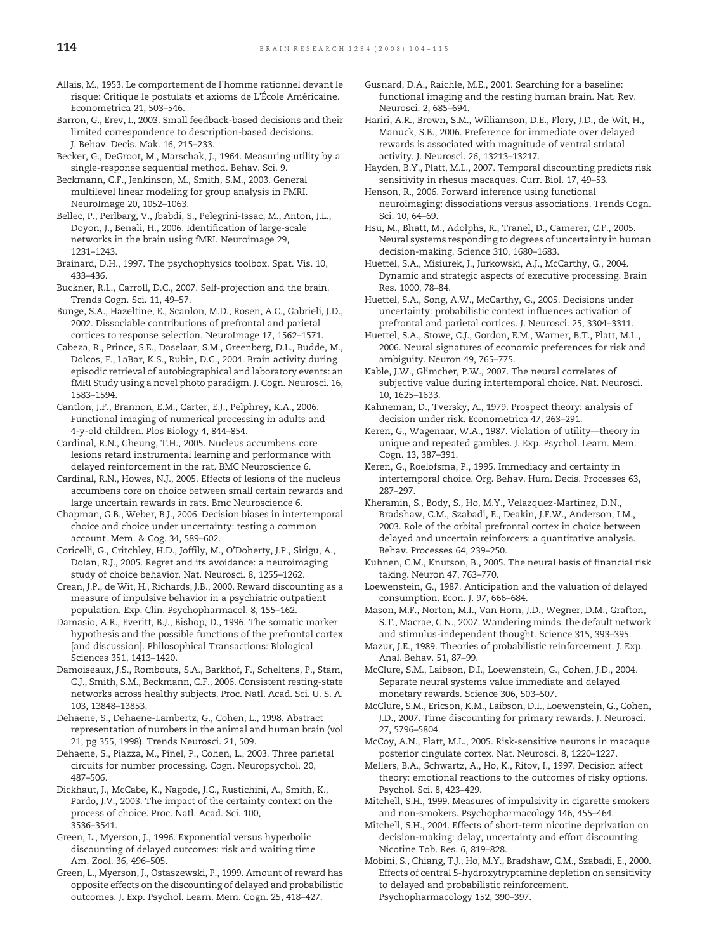- <span id="page-10-0"></span>Allais, M., 1953. Le comportement de l'homme rationnel devant le risque: Critique le postulats et axioms de L'École Américaine. Econometrica 21, 503–546.
- Barron, G., Erev, I., 2003. Small feedback-based decisions and their limited correspondence to description-based decisions. J. Behav. Decis. Mak. 16, 215–233.
- Becker, G., DeGroot, M., Marschak, J., 1964. Measuring utility by a single-response sequential method. Behav. Sci. 9.

Beckmann, C.F., Jenkinson, M., Smith, S.M., 2003. General multilevel linear modeling for group analysis in FMRI. NeuroImage 20, 1052–1063.

Bellec, P., Perlbarg, V., Jbabdi, S., Pelegrini-Issac, M., Anton, J.L., Doyon, J., Benali, H., 2006. Identification of large-scale networks in the brain using fMRI. Neuroimage 29, 1231–1243.

Brainard, D.H., 1997. The psychophysics toolbox. Spat. Vis. 10, 433–436.

Buckner, R.L., Carroll, D.C., 2007. Self-projection and the brain. Trends Cogn. Sci. 11, 49–57.

Bunge, S.A., Hazeltine, E., Scanlon, M.D., Rosen, A.C., Gabrieli, J.D., 2002. Dissociable contributions of prefrontal and parietal cortices to response selection. NeuroImage 17, 1562–1571.

Cabeza, R., Prince, S.E., Daselaar, S.M., Greenberg, D.L., Budde, M., Dolcos, F., LaBar, K.S., Rubin, D.C., 2004. Brain activity during episodic retrieval of autobiographical and laboratory events: an fMRI Study using a novel photo paradigm. J. Cogn. Neurosci. 16, 1583–1594.

Cantlon, J.F., Brannon, E.M., Carter, E.J., Pelphrey, K.A., 2006. Functional imaging of numerical processing in adults and 4-y-old children. Plos Biology 4, 844–854.

Cardinal, R.N., Cheung, T.H., 2005. Nucleus accumbens core lesions retard instrumental learning and performance with delayed reinforcement in the rat. BMC Neuroscience 6.

Cardinal, R.N., Howes, N.J., 2005. Effects of lesions of the nucleus accumbens core on choice between small certain rewards and large uncertain rewards in rats. Bmc Neuroscience 6.

Chapman, G.B., Weber, B.J., 2006. Decision biases in intertemporal choice and choice under uncertainty: testing a common account. Mem. & Cog. 34, 589–602.

Coricelli, G., Critchley, H.D., Joffily, M., O'Doherty, J.P., Sirigu, A., Dolan, R.J., 2005. Regret and its avoidance: a neuroimaging study of choice behavior. Nat. Neurosci. 8, 1255–1262.

Crean, J.P., de Wit, H., Richards, J.B., 2000. Reward discounting as a measure of impulsive behavior in a psychiatric outpatient population. Exp. Clin. Psychopharmacol. 8, 155–162.

Damasio, A.R., Everitt, B.J., Bishop, D., 1996. The somatic marker hypothesis and the possible functions of the prefrontal cortex [and discussion]. Philosophical Transactions: Biological Sciences 351, 1413–1420.

Damoiseaux, J.S., Rombouts, S.A., Barkhof, F., Scheltens, P., Stam, C.J., Smith, S.M., Beckmann, C.F., 2006. Consistent resting-state networks across healthy subjects. Proc. Natl. Acad. Sci. U. S. A. 103, 13848–13853.

Dehaene, S., Dehaene-Lambertz, G., Cohen, L., 1998. Abstract representation of numbers in the animal and human brain (vol 21, pg 355, 1998). Trends Neurosci. 21, 509.

Dehaene, S., Piazza, M., Pinel, P., Cohen, L., 2003. Three parietal circuits for number processing. Cogn. Neuropsychol. 20, 487–506.

Dickhaut, J., McCabe, K., Nagode, J.C., Rustichini, A., Smith, K., Pardo, J.V., 2003. The impact of the certainty context on the process of choice. Proc. Natl. Acad. Sci. 100, 3536–3541.

Green, L., Myerson, J., 1996. Exponential versus hyperbolic discounting of delayed outcomes: risk and waiting time Am. Zool. 36, 496–505.

Green, L., Myerson, J., Ostaszewski, P., 1999. Amount of reward has opposite effects on the discounting of delayed and probabilistic outcomes. J. Exp. Psychol. Learn. Mem. Cogn. 25, 418–427.

- Gusnard, D.A., Raichle, M.E., 2001. Searching for a baseline: functional imaging and the resting human brain. Nat. Rev. Neurosci. 2, 685–694.
- Hariri, A.R., Brown, S.M., Williamson, D.E., Flory, J.D., de Wit, H., Manuck, S.B., 2006. Preference for immediate over delayed rewards is associated with magnitude of ventral striatal activity. J. Neurosci. 26, 13213–13217.
- Hayden, B.Y., Platt, M.L., 2007. Temporal discounting predicts risk sensitivity in rhesus macaques. Curr. Biol. 17, 49–53.

Henson, R., 2006. Forward inference using functional neuroimaging: dissociations versus associations. Trends Cogn. Sci. 10, 64–69.

Hsu, M., Bhatt, M., Adolphs, R., Tranel, D., Camerer, C.F., 2005. Neural systems responding to degrees of uncertainty in human decision-making. Science 310, 1680–1683.

Huettel, S.A., Misiurek, J., Jurkowski, A.J., McCarthy, G., 2004. Dynamic and strategic aspects of executive processing. Brain Res. 1000, 78–84.

Huettel, S.A., Song, A.W., McCarthy, G., 2005. Decisions under uncertainty: probabilistic context influences activation of prefrontal and parietal cortices. J. Neurosci. 25, 3304–3311.

Huettel, S.A., Stowe, C.J., Gordon, E.M., Warner, B.T., Platt, M.L., 2006. Neural signatures of economic preferences for risk and ambiguity. Neuron 49, 765–775.

Kable, J.W., Glimcher, P.W., 2007. The neural correlates of subjective value during intertemporal choice. Nat. Neurosci. 10, 1625–1633.

Kahneman, D., Tversky, A., 1979. Prospect theory: analysis of decision under risk. Econometrica 47, 263–291.

Keren, G., Wagenaar, W.A., 1987. Violation of utility—theory in unique and repeated gambles. J. Exp. Psychol. Learn. Mem. Cogn. 13, 387–391.

Kheramin, S., Body, S., Ho, M.Y., Velazquez-Martinez, D.N., Bradshaw, C.M., Szabadi, E., Deakin, J.F.W., Anderson, I.M., 2003. Role of the orbital prefrontal cortex in choice between delayed and uncertain reinforcers: a quantitative analysis. Behav. Processes 64, 239–250.

Kuhnen, C.M., Knutson, B., 2005. The neural basis of financial risk taking. Neuron 47, 763–770.

- Loewenstein, G., 1987. Anticipation and the valuation of delayed consumption. Econ. J. 97, 666–684.
- Mason, M.F., Norton, M.I., Van Horn, J.D., Wegner, D.M., Grafton, S.T., Macrae, C.N., 2007. Wandering minds: the default network and stimulus-independent thought. Science 315, 393–395.
- Mazur, J.E., 1989. Theories of probabilistic reinforcement. J. Exp. Anal. Behav. 51, 87–99.

McClure, S.M., Laibson, D.I., Loewenstein, G., Cohen, J.D., 2004. Separate neural systems value immediate and delayed monetary rewards. Science 306, 503–507.

McClure, S.M., Ericson, K.M., Laibson, D.I., Loewenstein, G., Cohen, J.D., 2007. Time discounting for primary rewards. J. Neurosci. 27, 5796–5804.

- McCoy, A.N., Platt, M.L., 2005. Risk-sensitive neurons in macaque posterior cingulate cortex. Nat. Neurosci. 8, 1220–1227.
- Mellers, B.A., Schwartz, A., Ho, K., Ritov, I., 1997. Decision affect theory: emotional reactions to the outcomes of risky options. Psychol. Sci. 8, 423–429.
- Mitchell, S.H., 1999. Measures of impulsivity in cigarette smokers and non-smokers. Psychopharmacology 146, 455–464.
- Mitchell, S.H., 2004. Effects of short-term nicotine deprivation on decision-making: delay, uncertainty and effort discounting. Nicotine Tob. Res. 6, 819–828.

Mobini, S., Chiang, T.J., Ho, M.Y., Bradshaw, C.M., Szabadi, E., 2000. Effects of central 5-hydroxytryptamine depletion on sensitivity to delayed and probabilistic reinforcement. Psychopharmacology 152, 390–397.

Keren, G., Roelofsma, P., 1995. Immediacy and certainty in intertemporal choice. Org. Behav. Hum. Decis. Processes 63, 287–297.